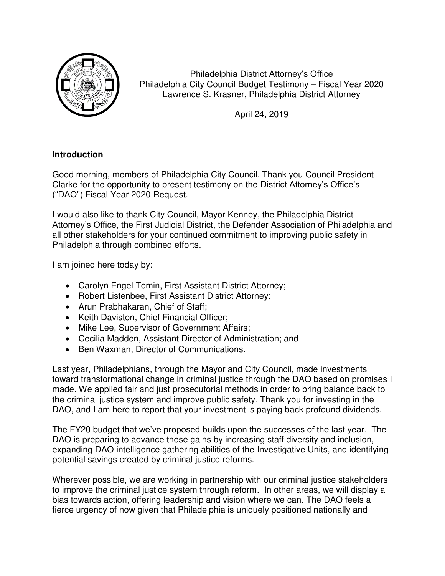

Philadelphia District Attorney's Office Philadelphia City Council Budget Testimony – Fiscal Year 2020 Lawrence S. Krasner, Philadelphia District Attorney

April 24, 2019

## **Introduction**

Good morning, members of Philadelphia City Council. Thank you Council President Clarke for the opportunity to present testimony on the District Attorney's Office's ("DAO") Fiscal Year 2020 Request.

I would also like to thank City Council, Mayor Kenney, the Philadelphia District Attorney's Office, the First Judicial District, the Defender Association of Philadelphia and all other stakeholders for your continued commitment to improving public safety in Philadelphia through combined efforts.

I am joined here today by:

- Carolyn Engel Temin, First Assistant District Attorney;
- Robert Listenbee, First Assistant District Attorney;
- Arun Prabhakaran, Chief of Staff;
- Keith Daviston, Chief Financial Officer;
- Mike Lee, Supervisor of Government Affairs:
- Cecilia Madden, Assistant Director of Administration; and
- Ben Waxman, Director of Communications.

Last year, Philadelphians, through the Mayor and City Council, made investments toward transformational change in criminal justice through the DAO based on promises I made. We applied fair and just prosecutorial methods in order to bring balance back to the criminal justice system and improve public safety. Thank you for investing in the DAO, and I am here to report that your investment is paying back profound dividends.

The FY20 budget that we've proposed builds upon the successes of the last year. The DAO is preparing to advance these gains by increasing staff diversity and inclusion, expanding DAO intelligence gathering abilities of the Investigative Units, and identifying potential savings created by criminal justice reforms.

Wherever possible, we are working in partnership with our criminal justice stakeholders to improve the criminal justice system through reform. In other areas, we will display a bias towards action, offering leadership and vision where we can. The DAO feels a fierce urgency of now given that Philadelphia is uniquely positioned nationally and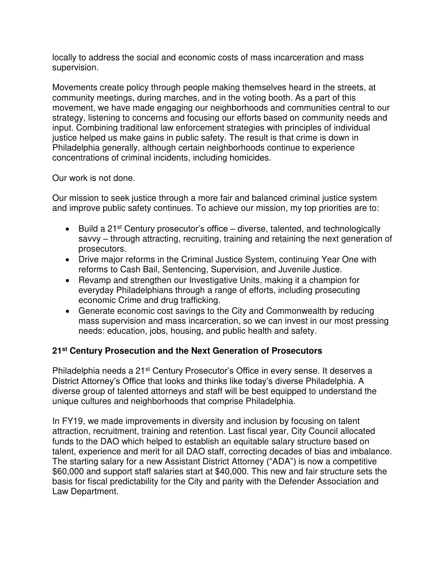locally to address the social and economic costs of mass incarceration and mass supervision.

Movements create policy through people making themselves heard in the streets, at community meetings, during marches, and in the voting booth. As a part of this movement, we have made engaging our neighborhoods and communities central to our strategy, listening to concerns and focusing our efforts based on community needs and input. Combining traditional law enforcement strategies with principles of individual justice helped us make gains in public safety. The result is that crime is down in Philadelphia generally, although certain neighborhoods continue to experience concentrations of criminal incidents, including homicides.

### Our work is not done.

Our mission to seek justice through a more fair and balanced criminal justice system and improve public safety continues. To achieve our mission, my top priorities are to:

- Euild a 21<sup>st</sup> Century prosecutor's office diverse, talented, and technologically savvy – through attracting, recruiting, training and retaining the next generation of prosecutors.
- Drive major reforms in the Criminal Justice System, continuing Year One with reforms to Cash Bail, Sentencing, Supervision, and Juvenile Justice.
- Revamp and strengthen our Investigative Units, making it a champion for everyday Philadelphians through a range of efforts, including prosecuting economic Crime and drug trafficking.
- Generate economic cost savings to the City and Commonwealth by reducing mass supervision and mass incarceration, so we can invest in our most pressing needs: education, jobs, housing, and public health and safety.

## **21st Century Prosecution and the Next Generation of Prosecutors**

Philadelphia needs a 21<sup>st</sup> Century Prosecutor's Office in every sense. It deserves a District Attorney's Office that looks and thinks like today's diverse Philadelphia. A diverse group of talented attorneys and staff will be best equipped to understand the unique cultures and neighborhoods that comprise Philadelphia.

In FY19, we made improvements in diversity and inclusion by focusing on talent attraction, recruitment, training and retention. Last fiscal year, City Council allocated funds to the DAO which helped to establish an equitable salary structure based on talent, experience and merit for all DAO staff, correcting decades of bias and imbalance. The starting salary for a new Assistant District Attorney ("ADA") is now a competitive \$60,000 and support staff salaries start at \$40,000. This new and fair structure sets the basis for fiscal predictability for the City and parity with the Defender Association and Law Department.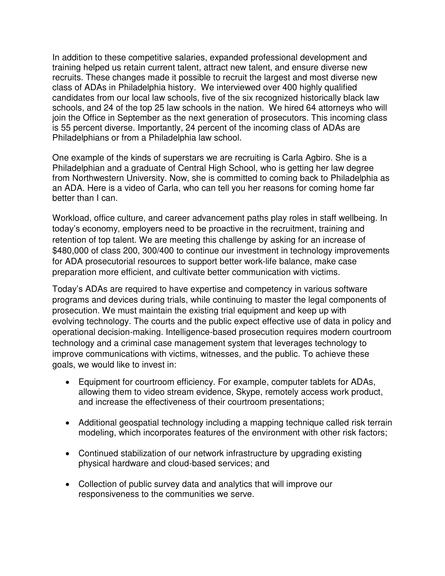In addition to these competitive salaries, expanded professional development and training helped us retain current talent, attract new talent, and ensure diverse new recruits. These changes made it possible to recruit the largest and most diverse new class of ADAs in Philadelphia history. We interviewed over 400 highly qualified candidates from our local law schools, five of the six recognized historically black law schools, and 24 of the top 25 law schools in the nation. We hired 64 attorneys who will join the Office in September as the next generation of prosecutors. This incoming class is 55 percent diverse. Importantly, 24 percent of the incoming class of ADAs are Philadelphians or from a Philadelphia law school.

One example of the kinds of superstars we are recruiting is Carla Agbiro. She is a Philadelphian and a graduate of Central High School, who is getting her law degree from Northwestern University. Now, she is committed to coming back to Philadelphia as an ADA. Here is a video of Carla, who can tell you her reasons for coming home far better than I can.

Workload, office culture, and career advancement paths play roles in staff wellbeing. In today's economy, employers need to be proactive in the recruitment, training and retention of top talent. We are meeting this challenge by asking for an increase of \$480,000 of class 200, 300/400 to continue our investment in technology improvements for ADA prosecutorial resources to support better work-life balance, make case preparation more efficient, and cultivate better communication with victims.

Today's ADAs are required to have expertise and competency in various software programs and devices during trials, while continuing to master the legal components of prosecution. We must maintain the existing trial equipment and keep up with evolving technology. The courts and the public expect effective use of data in policy and operational decision-making. Intelligence-based prosecution requires modern courtroom technology and a criminal case management system that leverages technology to improve communications with victims, witnesses, and the public. To achieve these goals, we would like to invest in:

- Equipment for courtroom efficiency. For example, computer tablets for ADAs, allowing them to video stream evidence, Skype, remotely access work product, and increase the effectiveness of their courtroom presentations;
- Additional geospatial technology including a mapping technique called risk terrain modeling, which incorporates features of the environment with other risk factors;
- Continued stabilization of our network infrastructure by upgrading existing physical hardware and cloud-based services; and
- Collection of public survey data and analytics that will improve our responsiveness to the communities we serve.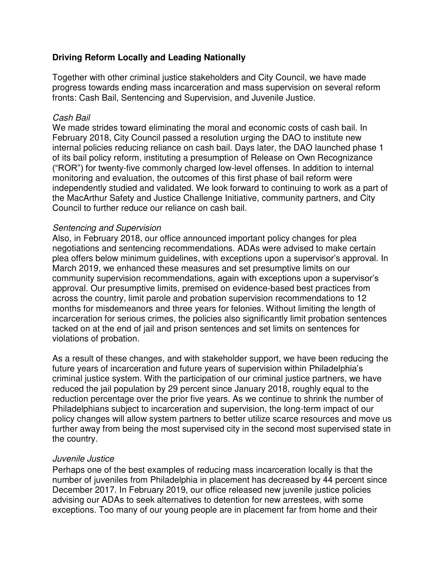### **Driving Reform Locally and Leading Nationally**

Together with other criminal justice stakeholders and City Council, we have made progress towards ending mass incarceration and mass supervision on several reform fronts: Cash Bail, Sentencing and Supervision, and Juvenile Justice.

#### Cash Bail

We made strides toward eliminating the moral and economic costs of cash bail. In February 2018, City Council passed a resolution urging the DAO to institute new internal policies reducing reliance on cash bail. Days later, the DAO launched phase 1 of its bail policy reform, instituting a presumption of Release on Own Recognizance ("ROR") for twenty-five commonly charged low-level offenses. In addition to internal monitoring and evaluation, the outcomes of this first phase of bail reform were independently studied and validated. We look forward to continuing to work as a part of the MacArthur Safety and Justice Challenge Initiative, community partners, and City Council to further reduce our reliance on cash bail.

#### Sentencing and Supervision

Also, in February 2018, our office announced important policy changes for plea negotiations and sentencing recommendations. ADAs were advised to make certain plea offers below minimum guidelines, with exceptions upon a supervisor's approval. In March 2019, we enhanced these measures and set presumptive limits on our community supervision recommendations, again with exceptions upon a supervisor's approval. Our presumptive limits, premised on evidence-based best practices from across the country, limit parole and probation supervision recommendations to 12 months for misdemeanors and three years for felonies. Without limiting the length of incarceration for serious crimes, the policies also significantly limit probation sentences tacked on at the end of jail and prison sentences and set limits on sentences for violations of probation.

As a result of these changes, and with stakeholder support, we have been reducing the future years of incarceration and future years of supervision within Philadelphia's criminal justice system. With the participation of our criminal justice partners, we have reduced the jail population by 29 percent since January 2018, roughly equal to the reduction percentage over the prior five years. As we continue to shrink the number of Philadelphians subject to incarceration and supervision, the long-term impact of our policy changes will allow system partners to better utilize scarce resources and move us further away from being the most supervised city in the second most supervised state in the country.

#### Juvenile Justice

Perhaps one of the best examples of reducing mass incarceration locally is that the number of juveniles from Philadelphia in placement has decreased by 44 percent since December 2017. In February 2019, our office released new juvenile justice policies advising our ADAs to seek alternatives to detention for new arrestees, with some exceptions. Too many of our young people are in placement far from home and their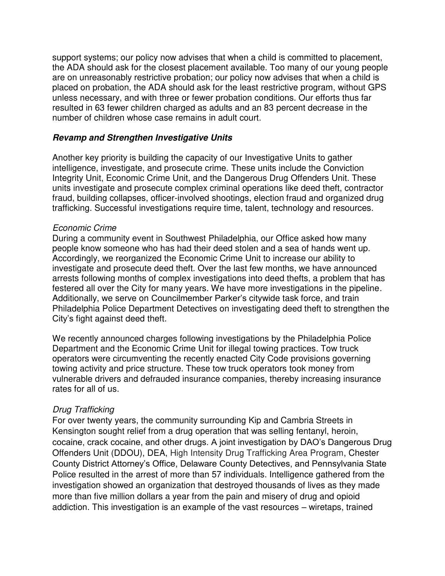support systems; our policy now advises that when a child is committed to placement, the ADA should ask for the closest placement available. Too many of our young people are on unreasonably restrictive probation; our policy now advises that when a child is placed on probation, the ADA should ask for the least restrictive program, without GPS unless necessary, and with three or fewer probation conditions. Our efforts thus far resulted in 63 fewer children charged as adults and an 83 percent decrease in the number of children whose case remains in adult court.

### **Revamp and Strengthen Investigative Units**

Another key priority is building the capacity of our Investigative Units to gather intelligence, investigate, and prosecute crime. These units include the Conviction Integrity Unit, Economic Crime Unit, and the Dangerous Drug Offenders Unit. These units investigate and prosecute complex criminal operations like deed theft, contractor fraud, building collapses, officer-involved shootings, election fraud and organized drug trafficking. Successful investigations require time, talent, technology and resources.

#### Economic Crime

During a community event in Southwest Philadelphia, our Office asked how many people know someone who has had their deed stolen and a sea of hands went up. Accordingly, we reorganized the Economic Crime Unit to increase our ability to investigate and prosecute deed theft. Over the last few months, we have announced arrests following months of complex investigations into deed thefts, a problem that has festered all over the City for many years. We have more investigations in the pipeline. Additionally, we serve on Councilmember Parker's citywide task force, and train Philadelphia Police Department Detectives on investigating deed theft to strengthen the City's fight against deed theft.

We recently announced charges following investigations by the Philadelphia Police Department and the Economic Crime Unit for illegal towing practices. Tow truck operators were circumventing the recently enacted City Code provisions governing towing activity and price structure. These tow truck operators took money from vulnerable drivers and defrauded insurance companies, thereby increasing insurance rates for all of us.

## Drug Trafficking

For over twenty years, the community surrounding Kip and Cambria Streets in Kensington sought relief from a drug operation that was selling fentanyl, heroin, cocaine, crack cocaine, and other drugs. A joint investigation by DAO's Dangerous Drug Offenders Unit (DDOU), DEA, High Intensity Drug Trafficking Area Program, Chester County District Attorney's Office, Delaware County Detectives, and Pennsylvania State Police resulted in the arrest of more than 57 individuals. Intelligence gathered from the investigation showed an organization that destroyed thousands of lives as they made more than five million dollars a year from the pain and misery of drug and opioid addiction. This investigation is an example of the vast resources – wiretaps, trained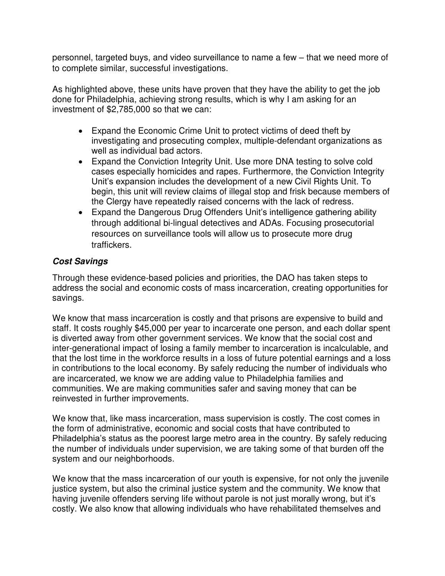personnel, targeted buys, and video surveillance to name a few – that we need more of to complete similar, successful investigations.

As highlighted above, these units have proven that they have the ability to get the job done for Philadelphia, achieving strong results, which is why I am asking for an investment of \$2,785,000 so that we can:

- Expand the Economic Crime Unit to protect victims of deed theft by investigating and prosecuting complex, multiple-defendant organizations as well as individual bad actors.
- Expand the Conviction Integrity Unit. Use more DNA testing to solve cold cases especially homicides and rapes. Furthermore, the Conviction Integrity Unit's expansion includes the development of a new Civil Rights Unit. To begin, this unit will review claims of illegal stop and frisk because members of the Clergy have repeatedly raised concerns with the lack of redress.
- Expand the Dangerous Drug Offenders Unit's intelligence gathering ability through additional bi-lingual detectives and ADAs. Focusing prosecutorial resources on surveillance tools will allow us to prosecute more drug traffickers.

# **Cost Savings**

Through these evidence-based policies and priorities, the DAO has taken steps to address the social and economic costs of mass incarceration, creating opportunities for savings.

We know that mass incarceration is costly and that prisons are expensive to build and staff. It costs roughly \$45,000 per year to incarcerate one person, and each dollar spent is diverted away from other government services. We know that the social cost and inter-generational impact of losing a family member to incarceration is incalculable, and that the lost time in the workforce results in a loss of future potential earnings and a loss in contributions to the local economy. By safely reducing the number of individuals who are incarcerated, we know we are adding value to Philadelphia families and communities. We are making communities safer and saving money that can be reinvested in further improvements.

We know that, like mass incarceration, mass supervision is costly. The cost comes in the form of administrative, economic and social costs that have contributed to Philadelphia's status as the poorest large metro area in the country. By safely reducing the number of individuals under supervision, we are taking some of that burden off the system and our neighborhoods.

We know that the mass incarceration of our youth is expensive, for not only the juvenile justice system, but also the criminal justice system and the community. We know that having juvenile offenders serving life without parole is not just morally wrong, but it's costly. We also know that allowing individuals who have rehabilitated themselves and